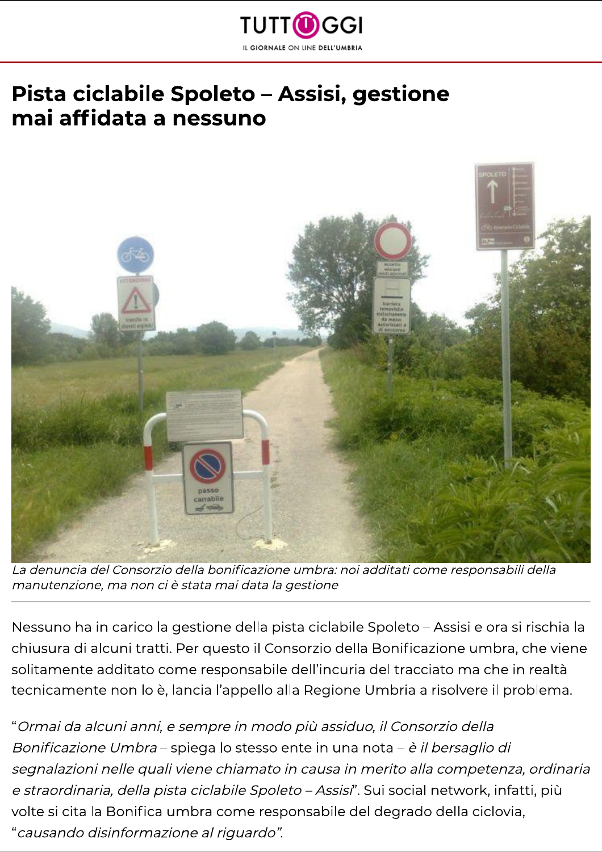

## Pista ciclabile Spoleto - Assisi, gestione mai affidata a nessuno



La denuncia del Consorzio della bonificazione umbra: noi additati come responsabili della manutenzione, ma non ci è stata mai data la gestione

Nessuno ha in carico la gestione della pista ciclabile Spoleto - Assisi e ora si rischia la chiusura di alcuni tratti. Per questo il Consorzio della Bonificazione umbra, che viene solitamente additato come responsabile dell'incuria del tracciato ma che in realtà tecnicamente non lo è, lancia l'appello alla Regione Umbria a risolvere il problema.

"Ormai da alcuni anni, e sempre in modo più assiduo, il Consorzio della Bonificazione Umbra – spiega lo stesso ente in una nota – è il bersaglio di segnalazioni nelle quali viene chiamato in causa in merito alla competenza, ordinaria e straordinaria, della pista ciclabile Spoleto - Assisi". Sui social network, infatti, più volte si cita la Bonifica umbra come responsabile del degrado della ciclovia, "causando disinformazione al riguardo".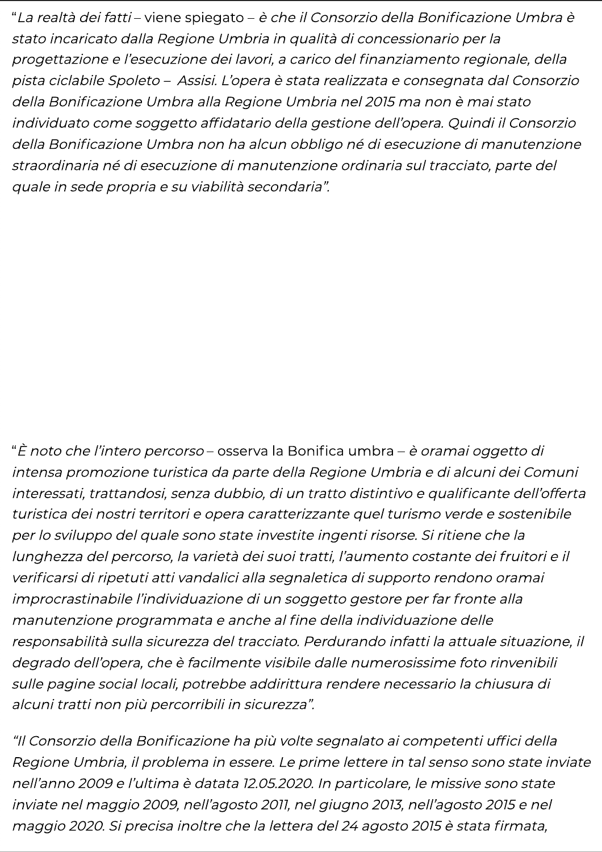"La realtà dei fatti-viene spiegato - è che il Consorzio della Bonificazione Umbra è stato incaricato dalla Regione Umbria in qualità di concessionario per la progettazione e l'esecuzione dei lavori, a carico del finanziamento regionale, della pista ciclabile Spoleto – Assisi. L'opera è stata realizzata e consegnata dal Consorzio della Bonificazione Umbra alla Regione Umbria nel 2015 ma non è mai stato individuato come soggetto affidatario della gestione dell'opera. Quindi il Consorzio della Bonificazione Umbra non ha alcun obbligo né di esecuzione di manutenzione straordinaria né di esecuzione di manutenzione ordinaria sul tracciato, parte del quale in sede propria e su viabilità secondaria".

"È noto che l'intero percorso – osserva la Bonifica umbra – è oramai oggetto di intensa promozione turistica da parte della Regione Umbria e di alcuni dei Comuni interessati, trattandosi, senza dubbio, di un tratto distintivo e qualificante dell'offerta turistica dei nostri territori e opera caratterizzante quel turismo verde e sostenibile per lo sviluppo del quale sono state investite ingenti risorse. Si ritiene che la lunghezza del percorso, la varietà dei suoi tratti, l'aumento costante dei fruitori e il verificarsi di ripetuti atti vandalici alla segnaletica di supporto rendono oramai improcrastinabile l'individuazione di un soggetto gestore per far fronte alla manutenzione programmata e anche al fine della individuazione delle responsabilità sulla sicurezza del tracciato. Perdurando infatti la attuale situazione, il degrado dell'opera, che è facilmente visibile dalle numerosissime foto rinvenibili sulle pagine social locali, potrebbe addirittura rendere necessario la chiusura di alcuni tratti non più percorribili in sicurezza".

"Il Consorzio della Bonificazione ha più volte segnalato ai competenti uffici della Regione Umbria, il problema in essere. Le prime lettere in tal senso sono state inviate nell'anno 2009 e l'ultima è datata 12.05.2020. In particolare, le missive sono state inviate nel maggio 2009, nell'agosto 2011, nel giugno 2013, nell'agosto 2015 e nel maggio 2020. Si precisa inoltre che la lettera del 24 agosto 2015 è stata firmata,